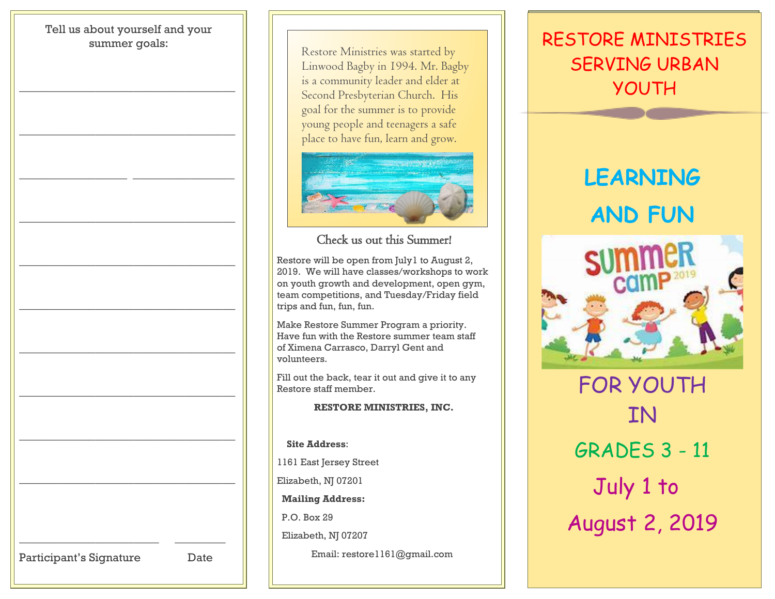# Tell us about yourself and your summer goals: \_\_\_\_\_\_\_\_\_\_\_\_\_\_\_\_\_\_\_\_\_\_\_\_\_\_\_\_\_\_\_\_\_\_  $\overline{\phantom{a}}$  ,  $\overline{\phantom{a}}$  ,  $\overline{\phantom{a}}$  ,  $\overline{\phantom{a}}$  ,  $\overline{\phantom{a}}$  ,  $\overline{\phantom{a}}$  ,  $\overline{\phantom{a}}$  ,  $\overline{\phantom{a}}$  ,  $\overline{\phantom{a}}$  ,  $\overline{\phantom{a}}$  ,  $\overline{\phantom{a}}$  ,  $\overline{\phantom{a}}$  ,  $\overline{\phantom{a}}$  ,  $\overline{\phantom{a}}$  ,  $\overline{\phantom{a}}$  ,  $\overline{\phantom{a}}$ \_\_\_\_\_\_\_\_\_\_\_\_\_\_\_\_\_ \_\_\_\_\_\_\_\_\_\_\_\_\_\_\_\_ \_\_\_\_\_\_\_\_\_\_\_\_\_\_\_\_\_\_\_\_\_\_\_\_\_\_\_\_\_\_\_\_\_\_ \_\_\_\_\_\_\_\_\_\_\_\_\_\_\_\_\_\_\_\_\_\_\_\_\_\_\_\_\_\_\_\_\_\_  $\overline{\phantom{a}}$  ,  $\overline{\phantom{a}}$  ,  $\overline{\phantom{a}}$  ,  $\overline{\phantom{a}}$  ,  $\overline{\phantom{a}}$  ,  $\overline{\phantom{a}}$  ,  $\overline{\phantom{a}}$  ,  $\overline{\phantom{a}}$  ,  $\overline{\phantom{a}}$  ,  $\overline{\phantom{a}}$  ,  $\overline{\phantom{a}}$  ,  $\overline{\phantom{a}}$  ,  $\overline{\phantom{a}}$  ,  $\overline{\phantom{a}}$  ,  $\overline{\phantom{a}}$  ,  $\overline{\phantom{a}}$  $\overline{\phantom{a}}$  ,  $\overline{\phantom{a}}$  ,  $\overline{\phantom{a}}$  ,  $\overline{\phantom{a}}$  ,  $\overline{\phantom{a}}$  ,  $\overline{\phantom{a}}$  ,  $\overline{\phantom{a}}$  ,  $\overline{\phantom{a}}$  ,  $\overline{\phantom{a}}$  ,  $\overline{\phantom{a}}$  ,  $\overline{\phantom{a}}$  ,  $\overline{\phantom{a}}$  ,  $\overline{\phantom{a}}$  ,  $\overline{\phantom{a}}$  ,  $\overline{\phantom{a}}$  ,  $\overline{\phantom{a}}$ \_\_\_\_\_\_\_\_\_\_\_\_\_\_\_\_\_\_\_\_\_\_\_\_\_\_\_\_\_\_\_\_\_\_ \_\_\_\_\_\_\_\_\_\_\_\_\_\_\_\_\_\_\_\_\_\_\_\_\_\_\_\_\_\_\_\_\_\_ \_\_\_\_\_\_\_\_\_\_\_\_\_\_\_\_\_\_\_\_\_\_\_\_\_\_\_\_\_\_\_\_\_\_ \_\_\_\_\_\_\_\_\_\_\_\_\_\_\_\_\_\_\_\_\_\_ \_\_\_\_\_\_\_\_ Participant's Signature Date

Restore Ministries was started by Linwood Bagby in 1994. Mr. Bagby is a community leader and elder at Second Presbyterian Church. His goal for the summer is to provide young people and teenagers a safe place to have fun, learn and grow.



### Check us out this Summer!

Restore will be open from July1 to August 2, 2019. We will have classes/workshops to work on youth growth and development, open gym, team competitions, and Tuesday/Friday field trips and fun, fun, fun.

Make Restore Summer Program a priority. Have fun with the Restore summer team staff of Ximena Carrasco, Darryl Gent and volunteers.

Fill out the back, tear it out and give it to any Restore staff member.

**RESTORE MINISTRIES, INC.**

 **Site Address**: 1161 East Jersey Street Elizabeth, NJ 07201 **Mailing Address:** P.O. Box 29 Elizabeth, NJ 07207 Email: restore1161@gmail.com

### RESTORE MINISTRIES SERVING URBAN YOUTH

## **LEARNING AND FUN**



FOR YOUTH **TN** GRADES 3 - 11 July 1 to August 2, 2019